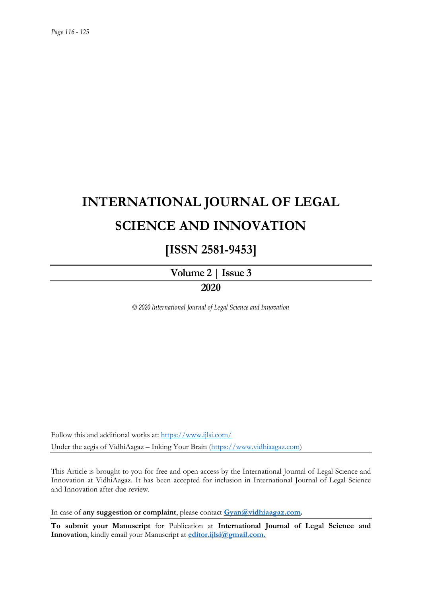# **INTERNATIONAL JOURNAL OF LEGAL SCIENCE AND INNOVATION**

# **[ISSN 2581-9453]**

**Volume 2 | Issue 3 2020**

*© 2020 International Journal of Legal Science and Innovation*

Follow this and additional works at:<https://www.ijlsi.com/> Under the aegis of VidhiAagaz – Inking Your Brain [\(https://www.vidhiaagaz.com\)](https://www.vidhiaagaz.com/)

This Article is brought to you for free and open access by the International Journal of Legal Science and Innovation at VidhiAagaz. It has been accepted for inclusion in International Journal of Legal Science and Innovation after due review.

In case of **any suggestion or complaint**, please contact **[Gyan@vidhiaagaz.com.](mailto:Gyan@vidhiaagaz.com)**

**To submit your Manuscript** for Publication at **International Journal of Legal Science and Innovation**, kindly email your Manuscript at **[editor.ijlsi@gmail.com.](mailto:editor.ijlsi@gmail.com)**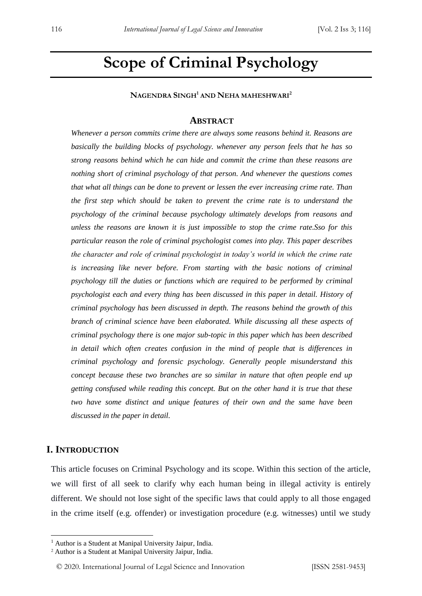# **Scope of Criminal Psychology**

**NAGENDRA SINGH<sup>1</sup> AND NEHA MAHESHWARI<sup>2</sup>**

#### **ABSTRACT**

*Whenever a person commits crime there are always some reasons behind it. Reasons are basically the building blocks of psychology. whenever any person feels that he has so strong reasons behind which he can hide and commit the crime than these reasons are nothing short of criminal psychology of that person. And whenever the questions comes that what all things can be done to prevent or lessen the ever increasing crime rate. Than the first step which should be taken to prevent the crime rate is to understand the psychology of the criminal because psychology ultimately develops from reasons and unless the reasons are known it is just impossible to stop the crime rate.Sso for this particular reason the role of criminal psychologist comes into play. This paper describes the character and role of criminal psychologist in today's world in which the crime rate is increasing like never before. From starting with the basic notions of criminal psychology till the duties or functions which are required to be performed by criminal psychologist each and every thing has been discussed in this paper in detail. History of criminal psychology has been discussed in depth. The reasons behind the growth of this branch of criminal science have been elaborated. While discussing all these aspects of criminal psychology there is one major sub-topic in this paper which has been described in detail which often creates confusion in the mind of people that is differences in criminal psychology and forensic psychology. Generally people misunderstand this concept because these two branches are so similar in nature that often people end up getting consfused while reading this concept. But on the other hand it is true that these two have some distinct and unique features of their own and the same have been discussed in the paper in detail.*

### **I. INTRODUCTION**

-

This article focuses on Criminal Psychology and its scope. Within this section of the article, we will first of all seek to clarify why each human being in illegal activity is entirely different. We should not lose sight of the specific laws that could apply to all those engaged in the crime itself (e.g. offender) or investigation procedure (e.g. witnesses) until we study

<sup>&</sup>lt;sup>1</sup> Author is a Student at Manipal University Jaipur, India.

<sup>2</sup> Author is a Student at Manipal University Jaipur, India.

<sup>© 2020.</sup> International Journal of Legal Science and Innovation [ISSN 2581-9453]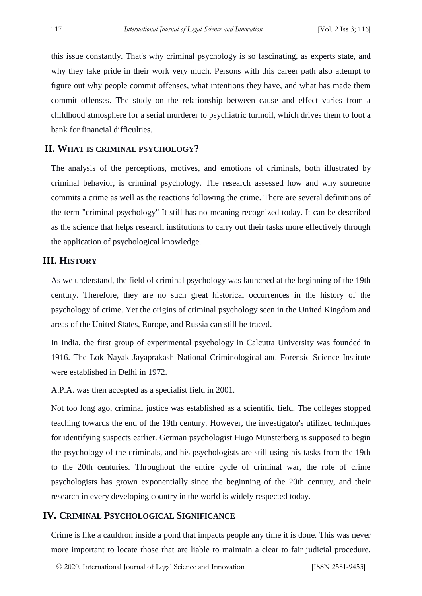this issue constantly. That's why criminal psychology is so fascinating, as experts state, and why they take pride in their work very much. Persons with this career path also attempt to figure out why people commit offenses, what intentions they have, and what has made them commit offenses. The study on the relationship between cause and effect varies from a childhood atmosphere for a serial murderer to psychiatric turmoil, which drives them to loot a bank for financial difficulties.

# **II. WHAT IS CRIMINAL PSYCHOLOGY?**

The analysis of the perceptions, motives, and emotions of criminals, both illustrated by criminal behavior, is criminal psychology. The research assessed how and why someone commits a crime as well as the reactions following the crime. There are several definitions of the term "criminal psychology" It still has no meaning recognized today. It can be described as the science that helps research institutions to carry out their tasks more effectively through the application of psychological knowledge.

# **III. HISTORY**

As we understand, the field of criminal psychology was launched at the beginning of the 19th century. Therefore, they are no such great historical occurrences in the history of the psychology of crime. Yet the origins of criminal psychology seen in the United Kingdom and areas of the United States, Europe, and Russia can still be traced.

In India, the first group of experimental psychology in Calcutta University was founded in 1916. The Lok Nayak Jayaprakash National Criminological and Forensic Science Institute were established in Delhi in 1972.

A.P.A. was then accepted as a specialist field in 2001.

Not too long ago, criminal justice was established as a scientific field. The colleges stopped teaching towards the end of the 19th century. However, the investigator's utilized techniques for identifying suspects earlier. German psychologist Hugo Munsterberg is supposed to begin the psychology of the criminals, and his psychologists are still using his tasks from the 19th to the 20th centuries. Throughout the entire cycle of criminal war, the role of crime psychologists has grown exponentially since the beginning of the 20th century, and their research in every developing country in the world is widely respected today.

# **IV. CRIMINAL PSYCHOLOGICAL SIGNIFICANCE**

Crime is like a cauldron inside a pond that impacts people any time it is done. This was never more important to locate those that are liable to maintain a clear to fair judicial procedure.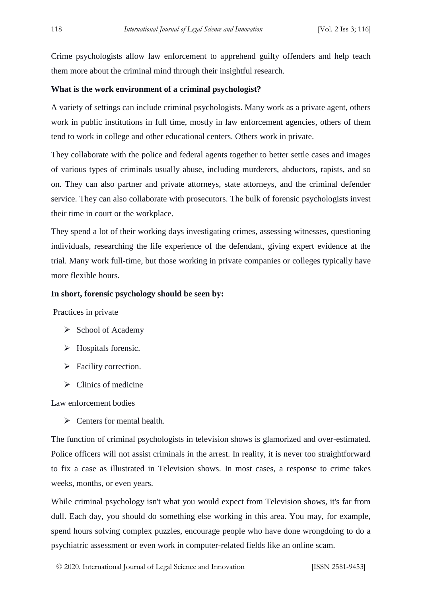Crime psychologists allow law enforcement to apprehend guilty offenders and help teach them more about the criminal mind through their insightful research.

#### **What is the work environment of a criminal psychologist?**

A variety of settings can include criminal psychologists. Many work as a private agent, others work in public institutions in full time, mostly in law enforcement agencies, others of them tend to work in college and other educational centers. Others work in private.

They collaborate with the police and federal agents together to better settle cases and images of various types of criminals usually abuse, including murderers, abductors, rapists, and so on. They can also partner and private attorneys, state attorneys, and the criminal defender service. They can also collaborate with prosecutors. The bulk of forensic psychologists invest their time in court or the workplace.

They spend a lot of their working days investigating crimes, assessing witnesses, questioning individuals, researching the life experience of the defendant, giving expert evidence at the trial. Many work full-time, but those working in private companies or colleges typically have more flexible hours.

# **In short, forensic psychology should be seen by:**

#### Practices in private

- $\triangleright$  School of Academy
- $\triangleright$  Hospitals forensic.
- $\triangleright$  Facility correction.
- $\triangleright$  Clinics of medicine

Law enforcement bodies

 $\triangleright$  Centers for mental health.

The function of criminal psychologists in television shows is glamorized and over-estimated. Police officers will not assist criminals in the arrest. In reality, it is never too straightforward to fix a case as illustrated in Television shows. In most cases, a response to crime takes weeks, months, or even years.

While criminal psychology isn't what you would expect from Television shows, it's far from dull. Each day, you should do something else working in this area. You may, for example, spend hours solving complex puzzles, encourage people who have done wrongdoing to do a psychiatric assessment or even work in computer-related fields like an online scam.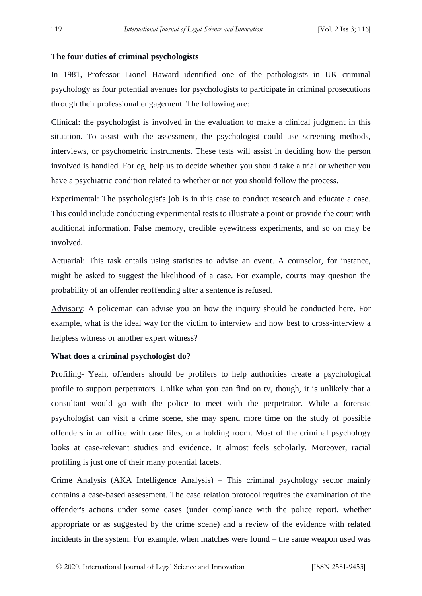# **The four duties of criminal psychologists**

In 1981, Professor Lionel Haward identified one of the pathologists in UK criminal psychology as four potential avenues for psychologists to participate in criminal prosecutions through their professional engagement. The following are:

Clinical: the psychologist is involved in the evaluation to make a clinical judgment in this situation. To assist with the assessment, the psychologist could use screening methods, interviews, or psychometric instruments. These tests will assist in deciding how the person involved is handled. For eg, help us to decide whether you should take a trial or whether you have a psychiatric condition related to whether or not you should follow the process.

Experimental: The psychologist's job is in this case to conduct research and educate a case. This could include conducting experimental tests to illustrate a point or provide the court with additional information. False memory, credible eyewitness experiments, and so on may be involved.

Actuarial: This task entails using statistics to advise an event. A counselor, for instance, might be asked to suggest the likelihood of a case. For example, courts may question the probability of an offender reoffending after a sentence is refused.

Advisory: A policeman can advise you on how the inquiry should be conducted here. For example, what is the ideal way for the victim to interview and how best to cross-interview a helpless witness or another expert witness?

#### **What does a criminal psychologist do?**

Profiling- Yeah, offenders should be profilers to help authorities create a psychological profile to support perpetrators. Unlike what you can find on tv, though, it is unlikely that a consultant would go with the police to meet with the perpetrator. While a forensic psychologist can visit a crime scene, she may spend more time on the study of possible offenders in an office with case files, or a holding room. Most of the criminal psychology looks at case-relevant studies and evidence. It almost feels scholarly. Moreover, racial profiling is just one of their many potential facets.

Crime Analysis (AKA Intelligence Analysis) – This criminal psychology sector mainly contains a case-based assessment. The case relation protocol requires the examination of the offender's actions under some cases (under compliance with the police report, whether appropriate or as suggested by the crime scene) and a review of the evidence with related incidents in the system. For example, when matches were found – the same weapon used was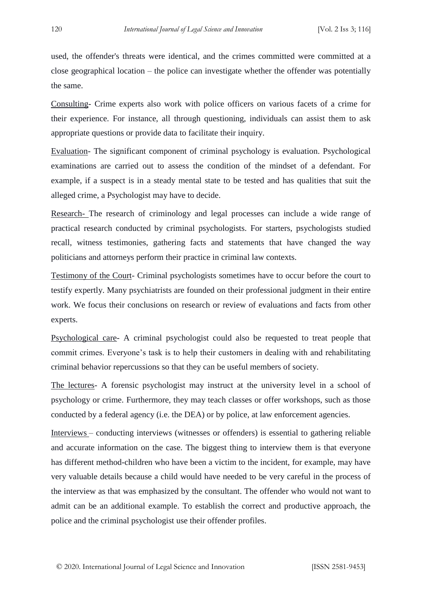used, the offender's threats were identical, and the crimes committed were committed at a close geographical location – the police can investigate whether the offender was potentially the same.

Consulting- Crime experts also work with police officers on various facets of a crime for their experience. For instance, all through questioning, individuals can assist them to ask appropriate questions or provide data to facilitate their inquiry.

Evaluation- The significant component of criminal psychology is evaluation. Psychological examinations are carried out to assess the condition of the mindset of a defendant. For example, if a suspect is in a steady mental state to be tested and has qualities that suit the alleged crime, a Psychologist may have to decide.

Research- The research of criminology and legal processes can include a wide range of practical research conducted by criminal psychologists. For starters, psychologists studied recall, witness testimonies, gathering facts and statements that have changed the way politicians and attorneys perform their practice in criminal law contexts.

Testimony of the Court- Criminal psychologists sometimes have to occur before the court to testify expertly. Many psychiatrists are founded on their professional judgment in their entire work. We focus their conclusions on research or review of evaluations and facts from other experts.

Psychological care- A criminal psychologist could also be requested to treat people that commit crimes. Everyone's task is to help their customers in dealing with and rehabilitating criminal behavior repercussions so that they can be useful members of society.

The lectures- A forensic psychologist may instruct at the university level in a school of psychology or crime. Furthermore, they may teach classes or offer workshops, such as those conducted by a federal agency (i.e. the DEA) or by police, at law enforcement agencies.

Interviews – conducting interviews (witnesses or offenders) is essential to gathering reliable and accurate information on the case. The biggest thing to interview them is that everyone has different method-children who have been a victim to the incident, for example, may have very valuable details because a child would have needed to be very careful in the process of the interview as that was emphasized by the consultant. The offender who would not want to admit can be an additional example. To establish the correct and productive approach, the police and the criminal psychologist use their offender profiles.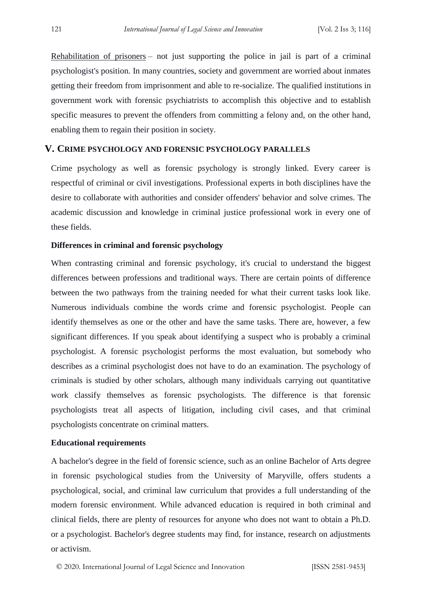Rehabilitation of prisoners – not just supporting the police in jail is part of a criminal psychologist's position. In many countries, society and government are worried about inmates getting their freedom from imprisonment and able to re-socialize. The qualified institutions in government work with forensic psychiatrists to accomplish this objective and to establish specific measures to prevent the offenders from committing a felony and, on the other hand, enabling them to regain their position in society.

# **V. CRIME PSYCHOLOGY AND FORENSIC PSYCHOLOGY PARALLELS**

Crime psychology as well as forensic psychology is strongly linked. Every career is respectful of criminal or civil investigations. Professional experts in both disciplines have the desire to collaborate with authorities and consider offenders' behavior and solve crimes. The academic discussion and knowledge in criminal justice professional work in every one of these fields.

#### **Differences in criminal and forensic psychology**

When contrasting criminal and forensic psychology, it's crucial to understand the biggest differences between professions and traditional ways. There are certain points of difference between the two pathways from the training needed for what their current tasks look like. Numerous individuals combine the words crime and forensic psychologist. People can identify themselves as one or the other and have the same tasks. There are, however, a few significant differences. If you speak about identifying a suspect who is probably a criminal psychologist. A forensic psychologist performs the most evaluation, but somebody who describes as a criminal psychologist does not have to do an examination. The psychology of criminals is studied by other scholars, although many individuals carrying out quantitative work classify themselves as forensic psychologists. The difference is that forensic psychologists treat all aspects of litigation, including civil cases, and that criminal psychologists concentrate on criminal matters.

#### **Educational requirements**

A bachelor's degree in the field of forensic science, such as an online Bachelor of Arts degree in forensic psychological studies from the University of Maryville, offers students a psychological, social, and criminal law curriculum that provides a full understanding of the modern forensic environment. While advanced education is required in both criminal and clinical fields, there are plenty of resources for anyone who does not want to obtain a Ph.D. or a psychologist. Bachelor's degree students may find, for instance, research on adjustments or activism.

© 2020. International Journal of Legal Science and Innovation [ISSN 2581-9453]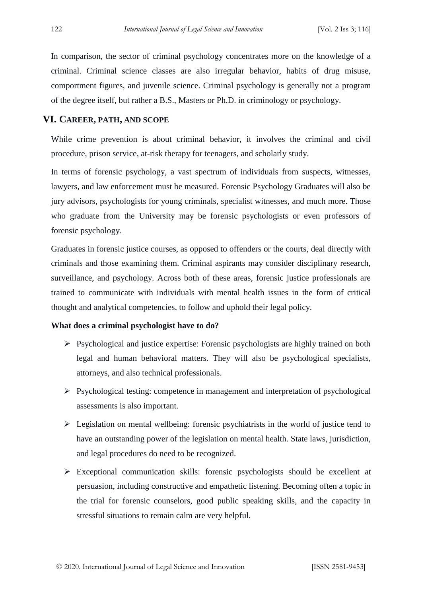In comparison, the sector of criminal psychology concentrates more on the knowledge of a criminal. Criminal science classes are also irregular behavior, habits of drug misuse, comportment figures, and juvenile science. Criminal psychology is generally not a program of the degree itself, but rather a B.S., Masters or Ph.D. in criminology or psychology.

# **VI. CAREER, PATH, AND SCOPE**

While crime prevention is about criminal behavior, it involves the criminal and civil procedure, prison service, at-risk therapy for teenagers, and scholarly study.

In terms of forensic psychology, a vast spectrum of individuals from suspects, witnesses, lawyers, and law enforcement must be measured. Forensic Psychology Graduates will also be jury advisors, psychologists for young criminals, specialist witnesses, and much more. Those who graduate from the University may be forensic psychologists or even professors of forensic psychology.

Graduates in forensic justice courses, as opposed to offenders or the courts, deal directly with criminals and those examining them. Criminal aspirants may consider disciplinary research, surveillance, and psychology. Across both of these areas, forensic justice professionals are trained to communicate with individuals with mental health issues in the form of critical thought and analytical competencies, to follow and uphold their legal policy.

#### **What does a criminal psychologist have to do?**

- $\triangleright$  Psychological and justice expertise: Forensic psychologists are highly trained on both legal and human behavioral matters. They will also be psychological specialists, attorneys, and also technical professionals.
- $\triangleright$  Psychological testing: competence in management and interpretation of psychological assessments is also important.
- $\triangleright$  Legislation on mental wellbeing: forensic psychiatrists in the world of justice tend to have an outstanding power of the legislation on mental health. State laws, jurisdiction, and legal procedures do need to be recognized.
- $\triangleright$  Exceptional communication skills: forensic psychologists should be excellent at persuasion, including constructive and empathetic listening. Becoming often a topic in the trial for forensic counselors, good public speaking skills, and the capacity in stressful situations to remain calm are very helpful.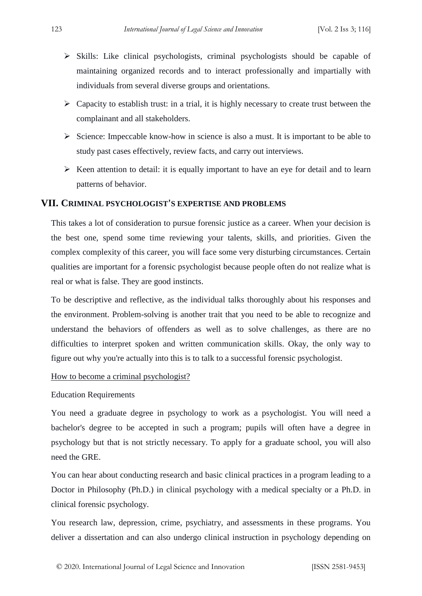- $\triangleright$  Skills: Like clinical psychologists, criminal psychologists should be capable of maintaining organized records and to interact professionally and impartially with individuals from several diverse groups and orientations.
- $\triangleright$  Capacity to establish trust: in a trial, it is highly necessary to create trust between the complainant and all stakeholders.
- $\triangleright$  Science: Impeccable know-how in science is also a must. It is important to be able to study past cases effectively, review facts, and carry out interviews.
- $\triangleright$  Keen attention to detail: it is equally important to have an eye for detail and to learn patterns of behavior.

# **VII. CRIMINAL PSYCHOLOGIST'S EXPERTISE AND PROBLEMS**

This takes a lot of consideration to pursue forensic justice as a career. When your decision is the best one, spend some time reviewing your talents, skills, and priorities. Given the complex complexity of this career, you will face some very disturbing circumstances. Certain qualities are important for a forensic psychologist because people often do not realize what is real or what is false. They are good instincts.

To be descriptive and reflective, as the individual talks thoroughly about his responses and the environment. Problem-solving is another trait that you need to be able to recognize and understand the behaviors of offenders as well as to solve challenges, as there are no difficulties to interpret spoken and written communication skills. Okay, the only way to figure out why you're actually into this is to talk to a successful forensic psychologist.

How to become a criminal psychologist?

# Education Requirements

You need a graduate degree in psychology to work as a psychologist. You will need a bachelor's degree to be accepted in such a program; pupils will often have a degree in psychology but that is not strictly necessary. To apply for a graduate school, you will also need the GRE.

You can hear about conducting research and basic clinical practices in a program leading to a Doctor in Philosophy (Ph.D.) in clinical psychology with a medical specialty or a Ph.D. in clinical forensic psychology.

You research law, depression, crime, psychiatry, and assessments in these programs. You deliver a dissertation and can also undergo clinical instruction in psychology depending on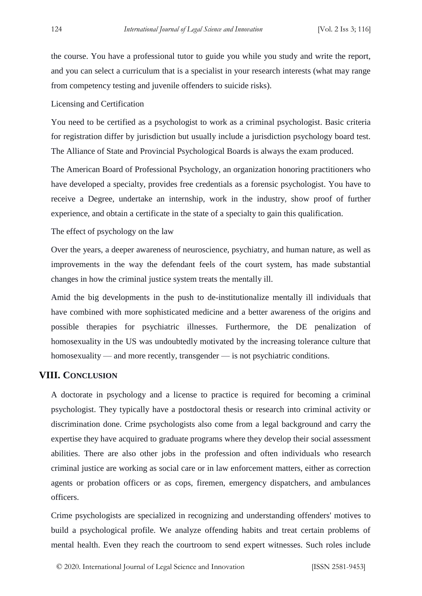the course. You have a professional tutor to guide you while you study and write the report, and you can select a curriculum that is a specialist in your research interests (what may range from competency testing and juvenile offenders to suicide risks).

#### Licensing and Certification

You need to be certified as a psychologist to work as a criminal psychologist. Basic criteria for registration differ by jurisdiction but usually include a jurisdiction psychology board test. The Alliance of State and Provincial Psychological Boards is always the exam produced.

The American Board of Professional Psychology, an organization honoring practitioners who have developed a specialty, provides free credentials as a forensic psychologist. You have to receive a Degree, undertake an internship, work in the industry, show proof of further experience, and obtain a certificate in the state of a specialty to gain this qualification.

The effect of psychology on the law

Over the years, a deeper awareness of neuroscience, psychiatry, and human nature, as well as improvements in the way the defendant feels of the court system, has made substantial changes in how the criminal justice system treats the mentally ill.

Amid the big developments in the push to de-institutionalize mentally ill individuals that have combined with more sophisticated medicine and a better awareness of the origins and possible therapies for psychiatric illnesses. Furthermore, the DE penalization of homosexuality in the US was undoubtedly motivated by the increasing tolerance culture that homosexuality — and more recently, transgender — is not psychiatric conditions.

# **VIII. CONCLUSION**

A doctorate in psychology and a license to practice is required for becoming a criminal psychologist. They typically have a postdoctoral thesis or research into criminal activity or discrimination done. Crime psychologists also come from a legal background and carry the expertise they have acquired to graduate programs where they develop their social assessment abilities. There are also other jobs in the profession and often individuals who research criminal justice are working as social care or in law enforcement matters, either as correction agents or probation officers or as cops, firemen, emergency dispatchers, and ambulances officers.

Crime psychologists are specialized in recognizing and understanding offenders' motives to build a psychological profile. We analyze offending habits and treat certain problems of mental health. Even they reach the courtroom to send expert witnesses. Such roles include